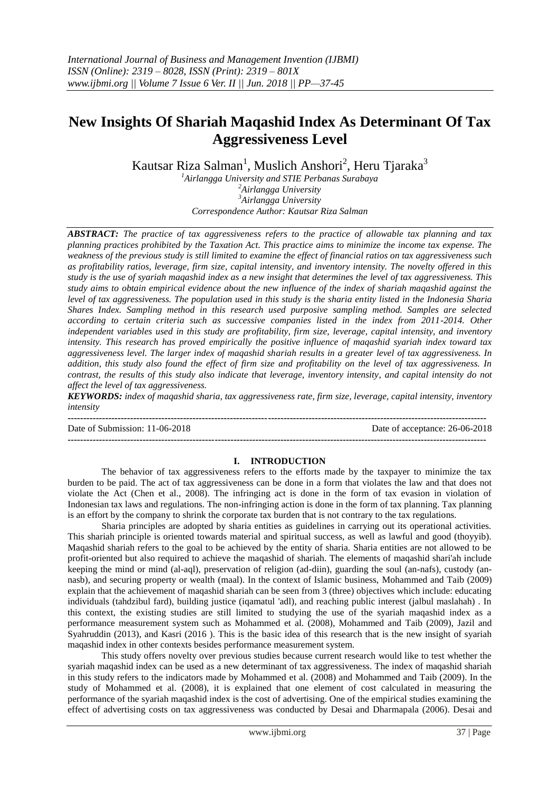# **New Insights Of Shariah Maqashid Index As Determinant Of Tax Aggressiveness Level**

Kautsar Riza Salman<sup>1</sup>, Muslich Anshori<sup>2</sup>, Heru Tjaraka<sup>3</sup>

*Airlangga University and STIE Perbanas Surabaya Airlangga University Airlangga University Correspondence Author: Kautsar Riza Salman*

*ABSTRACT: The practice of tax aggressiveness refers to the practice of allowable tax planning and tax planning practices prohibited by the Taxation Act. This practice aims to minimize the income tax expense. The weakness of the previous study is still limited to examine the effect of financial ratios on tax aggressiveness such as profitability ratios, leverage, firm size, capital intensity, and inventory intensity. The novelty offered in this study is the use of syariah maqashid index as a new insight that determines the level of tax aggressiveness. This study aims to obtain empirical evidence about the new influence of the index of shariah maqashid against the level of tax aggressiveness. The population used in this study is the sharia entity listed in the Indonesia Sharia Shares Index. Sampling method in this research used purposive sampling method. Samples are selected according to certain criteria such as successive companies listed in the index from 2011-2014. Other independent variables used in this study are profitability, firm size, leverage, capital intensity, and inventory intensity. This research has proved empirically the positive influence of maqashid syariah index toward tax aggressiveness level. The larger index of maqashid shariah results in a greater level of tax aggressiveness. In addition, this study also found the effect of firm size and profitability on the level of tax aggressiveness. In contrast, the results of this study also indicate that leverage, inventory intensity, and capital intensity do not affect the level of tax aggressiveness.*

*KEYWORDS: index of maqashid sharia, tax aggressiveness rate, firm size, leverage, capital intensity, inventory intensity*

**--------------------------------------------------------------------------------------------------------------------------------------** Date of Submission: 11-06-2018 Date of acceptance: 26-06-2018 **--------------------------------------------------------------------------------------------------------------------------------------**

# **I. INTRODUCTION**

The behavior of tax aggressiveness refers to the efforts made by the taxpayer to minimize the tax burden to be paid. The act of tax aggressiveness can be done in a form that violates the law and that does not violate the Act (Chen et al., 2008). The infringing act is done in the form of tax evasion in violation of Indonesian tax laws and regulations. The non-infringing action is done in the form of tax planning. Tax planning is an effort by the company to shrink the corporate tax burden that is not contrary to the tax regulations.

Sharia principles are adopted by sharia entities as guidelines in carrying out its operational activities. This shariah principle is oriented towards material and spiritual success, as well as lawful and good (thoyyib). Maqashid shariah refers to the goal to be achieved by the entity of sharia. Sharia entities are not allowed to be profit-oriented but also required to achieve the maqashid of shariah. The elements of maqashid shari'ah include keeping the mind or mind (al-aql), preservation of religion (ad-diin), guarding the soul (an-nafs), custody (annasb), and securing property or wealth (maal). In the context of Islamic business, Mohammed and Taib (2009) explain that the achievement of maqashid shariah can be seen from 3 (three) objectives which include: educating individuals (tahdzibul fard), building justice (iqamatul 'adl), and reaching public interest (jalbul maslahah) . In this context, the existing studies are still limited to studying the use of the syariah maqashid index as a performance measurement system such as Mohammed et al. (2008), Mohammed and Taib (2009), Jazil and Syahruddin (2013), and Kasri (2016 ). This is the basic idea of this research that is the new insight of syariah maqashid index in other contexts besides performance measurement system.

This study offers novelty over previous studies because current research would like to test whether the syariah maqashid index can be used as a new determinant of tax aggressiveness. The index of maqashid shariah in this study refers to the indicators made by Mohammed et al. (2008) and Mohammed and Taib (2009). In the study of Mohammed et al. (2008), it is explained that one element of cost calculated in measuring the performance of the syariah maqashid index is the cost of advertising. One of the empirical studies examining the effect of advertising costs on tax aggressiveness was conducted by Desai and Dharmapala (2006). Desai and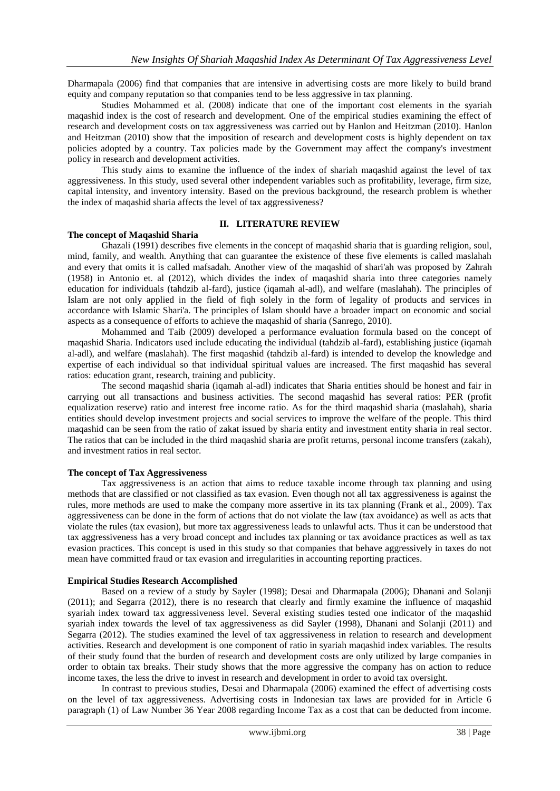Dharmapala (2006) find that companies that are intensive in advertising costs are more likely to build brand equity and company reputation so that companies tend to be less aggressive in tax planning.

Studies Mohammed et al. (2008) indicate that one of the important cost elements in the syariah maqashid index is the cost of research and development. One of the empirical studies examining the effect of research and development costs on tax aggressiveness was carried out by Hanlon and Heitzman (2010). Hanlon and Heitzman (2010) show that the imposition of research and development costs is highly dependent on tax policies adopted by a country. Tax policies made by the Government may affect the company's investment policy in research and development activities.

This study aims to examine the influence of the index of shariah maqashid against the level of tax aggressiveness. In this study, used several other independent variables such as profitability, leverage, firm size, capital intensity, and inventory intensity. Based on the previous background, the research problem is whether the index of maqashid sharia affects the level of tax aggressiveness?

# **II. LITERATURE REVIEW**

# **The concept of Maqashid Sharia**

Ghazali (1991) describes five elements in the concept of maqashid sharia that is guarding religion, soul, mind, family, and wealth. Anything that can guarantee the existence of these five elements is called maslahah and every that omits it is called mafsadah. Another view of the maqashid of shari'ah was proposed by Zahrah (1958) in Antonio et. al (2012), which divides the index of maqashid sharia into three categories namely education for individuals (tahdzib al-fard), justice (iqamah al-adl), and welfare (maslahah). The principles of Islam are not only applied in the field of fiqh solely in the form of legality of products and services in accordance with Islamic Shari'a. The principles of Islam should have a broader impact on economic and social aspects as a consequence of efforts to achieve the maqashid of sharia (Sanrego, 2010).

Mohammed and Taib (2009) developed a performance evaluation formula based on the concept of maqashid Sharia. Indicators used include educating the individual (tahdzib al-fard), establishing justice (iqamah al-adl), and welfare (maslahah). The first maqashid (tahdzib al-fard) is intended to develop the knowledge and expertise of each individual so that individual spiritual values are increased. The first maqashid has several ratios: education grant, research, training and publicity.

The second maqashid sharia (iqamah al-adl) indicates that Sharia entities should be honest and fair in carrying out all transactions and business activities. The second maqashid has several ratios: PER (profit equalization reserve) ratio and interest free income ratio. As for the third maqashid sharia (maslahah), sharia entities should develop investment projects and social services to improve the welfare of the people. This third maqashid can be seen from the ratio of zakat issued by sharia entity and investment entity sharia in real sector. The ratios that can be included in the third maqashid sharia are profit returns, personal income transfers (zakah), and investment ratios in real sector.

#### **The concept of Tax Aggressiveness**

Tax aggressiveness is an action that aims to reduce taxable income through tax planning and using methods that are classified or not classified as tax evasion. Even though not all tax aggressiveness is against the rules, more methods are used to make the company more assertive in its tax planning (Frank et al., 2009). Tax aggressiveness can be done in the form of actions that do not violate the law (tax avoidance) as well as acts that violate the rules (tax evasion), but more tax aggressiveness leads to unlawful acts. Thus it can be understood that tax aggressiveness has a very broad concept and includes tax planning or tax avoidance practices as well as tax evasion practices. This concept is used in this study so that companies that behave aggressively in taxes do not mean have committed fraud or tax evasion and irregularities in accounting reporting practices.

#### **Empirical Studies Research Accomplished**

Based on a review of a study by Sayler (1998); Desai and Dharmapala (2006); Dhanani and Solanji (2011); and Segarra (2012), there is no research that clearly and firmly examine the influence of maqashid syariah index toward tax aggressiveness level. Several existing studies tested one indicator of the maqashid syariah index towards the level of tax aggressiveness as did Sayler (1998), Dhanani and Solanji (2011) and Segarra (2012). The studies examined the level of tax aggressiveness in relation to research and development activities. Research and development is one component of ratio in syariah maqashid index variables. The results of their study found that the burden of research and development costs are only utilized by large companies in order to obtain tax breaks. Their study shows that the more aggressive the company has on action to reduce income taxes, the less the drive to invest in research and development in order to avoid tax oversight.

In contrast to previous studies, Desai and Dharmapala (2006) examined the effect of advertising costs on the level of tax aggressiveness. Advertising costs in Indonesian tax laws are provided for in Article 6 paragraph (1) of Law Number 36 Year 2008 regarding Income Tax as a cost that can be deducted from income.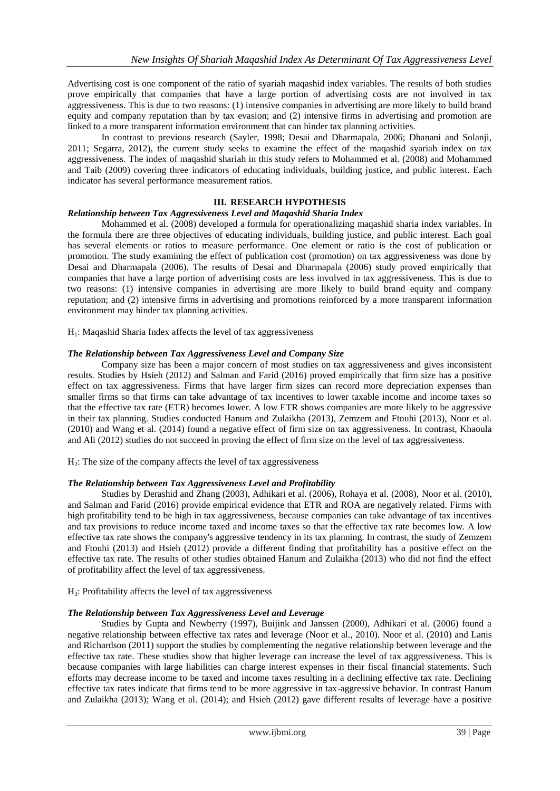Advertising cost is one component of the ratio of syariah maqashid index variables. The results of both studies prove empirically that companies that have a large portion of advertising costs are not involved in tax aggressiveness. This is due to two reasons: (1) intensive companies in advertising are more likely to build brand equity and company reputation than by tax evasion; and (2) intensive firms in advertising and promotion are linked to a more transparent information environment that can hinder tax planning activities.

In contrast to previous research (Sayler, 1998; Desai and Dharmapala, 2006; Dhanani and Solanji, 2011; Segarra, 2012), the current study seeks to examine the effect of the maqashid syariah index on tax aggressiveness. The index of maqashid shariah in this study refers to Mohammed et al. (2008) and Mohammed and Taib (2009) covering three indicators of educating individuals, building justice, and public interest. Each indicator has several performance measurement ratios.

# **III. RESEARCH HYPOTHESIS**

# *Relationship between Tax Aggressiveness Level and Maqashid Sharia Index*

Mohammed et al. (2008) developed a formula for operationalizing maqashid sharia index variables. In the formula there are three objectives of educating individuals, building justice, and public interest. Each goal has several elements or ratios to measure performance. One element or ratio is the cost of publication or promotion. The study examining the effect of publication cost (promotion) on tax aggressiveness was done by Desai and Dharmapala (2006). The results of Desai and Dharmapala (2006) study proved empirically that companies that have a large portion of advertising costs are less involved in tax aggressiveness. This is due to two reasons: (1) intensive companies in advertising are more likely to build brand equity and company reputation; and (2) intensive firms in advertising and promotions reinforced by a more transparent information environment may hinder tax planning activities.

 $H<sub>1</sub>$ : Maqashid Sharia Index affects the level of tax aggressiveness

# *The Relationship between Tax Aggressiveness Level and Company Size*

Company size has been a major concern of most studies on tax aggressiveness and gives inconsistent results. Studies by Hsieh (2012) and Salman and Farid (2016) proved empirically that firm size has a positive effect on tax aggressiveness. Firms that have larger firm sizes can record more depreciation expenses than smaller firms so that firms can take advantage of tax incentives to lower taxable income and income taxes so that the effective tax rate (ETR) becomes lower. A low ETR shows companies are more likely to be aggressive in their tax planning. Studies conducted Hanum and Zulaikha (2013), Zemzem and Ftouhi (2013), Noor et al. (2010) and Wang et al. (2014) found a negative effect of firm size on tax aggressiveness. In contrast, Khaoula and Ali (2012) studies do not succeed in proving the effect of firm size on the level of tax aggressiveness.

H2: The size of the company affects the level of tax aggressiveness

# *The Relationship between Tax Aggressiveness Level and Profitability*

Studies by Derashid and Zhang (2003), Adhikari et al. (2006), Rohaya et al. (2008), Noor et al. (2010), and Salman and Farid (2016) provide empirical evidence that ETR and ROA are negatively related. Firms with high profitability tend to be high in tax aggressiveness, because companies can take advantage of tax incentives and tax provisions to reduce income taxed and income taxes so that the effective tax rate becomes low. A low effective tax rate shows the company's aggressive tendency in its tax planning. In contrast, the study of Zemzem and Ftouhi (2013) and Hsieh (2012) provide a different finding that profitability has a positive effect on the effective tax rate. The results of other studies obtained Hanum and Zulaikha (2013) who did not find the effect of profitability affect the level of tax aggressiveness.

 $H_3$ : Profitability affects the level of tax aggressiveness

# *The Relationship between Tax Aggressiveness Level and Leverage*

Studies by Gupta and Newberry (1997), Buijink and Janssen (2000), Adhikari et al. (2006) found a negative relationship between effective tax rates and leverage (Noor et al., 2010). Noor et al. (2010) and Lanis and Richardson (2011) support the studies by complementing the negative relationship between leverage and the effective tax rate. These studies show that higher leverage can increase the level of tax aggressiveness. This is because companies with large liabilities can charge interest expenses in their fiscal financial statements. Such efforts may decrease income to be taxed and income taxes resulting in a declining effective tax rate. Declining effective tax rates indicate that firms tend to be more aggressive in tax-aggressive behavior. In contrast Hanum and Zulaikha (2013); Wang et al. (2014); and Hsieh (2012) gave different results of leverage have a positive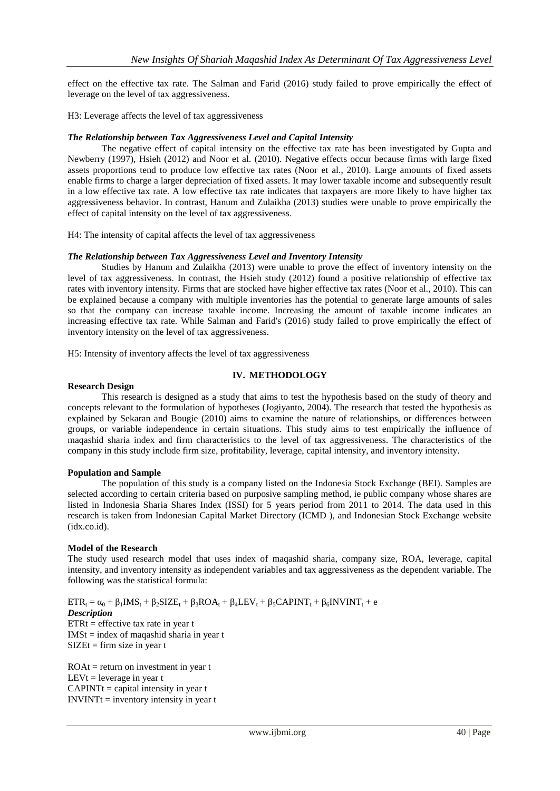effect on the effective tax rate. The Salman and Farid (2016) study failed to prove empirically the effect of leverage on the level of tax aggressiveness.

H3: Leverage affects the level of tax aggressiveness

# *The Relationship between Tax Aggressiveness Level and Capital Intensity*

The negative effect of capital intensity on the effective tax rate has been investigated by Gupta and Newberry (1997), Hsieh (2012) and Noor et al. (2010). Negative effects occur because firms with large fixed assets proportions tend to produce low effective tax rates (Noor et al., 2010). Large amounts of fixed assets enable firms to charge a larger depreciation of fixed assets. It may lower taxable income and subsequently result in a low effective tax rate. A low effective tax rate indicates that taxpayers are more likely to have higher tax aggressiveness behavior. In contrast, Hanum and Zulaikha (2013) studies were unable to prove empirically the effect of capital intensity on the level of tax aggressiveness.

H4: The intensity of capital affects the level of tax aggressiveness

# *The Relationship between Tax Aggressiveness Level and Inventory Intensity*

Studies by Hanum and Zulaikha (2013) were unable to prove the effect of inventory intensity on the level of tax aggressiveness. In contrast, the Hsieh study (2012) found a positive relationship of effective tax rates with inventory intensity. Firms that are stocked have higher effective tax rates (Noor et al., 2010). This can be explained because a company with multiple inventories has the potential to generate large amounts of sales so that the company can increase taxable income. Increasing the amount of taxable income indicates an increasing effective tax rate. While Salman and Farid's (2016) study failed to prove empirically the effect of inventory intensity on the level of tax aggressiveness.

H5: Intensity of inventory affects the level of tax aggressiveness

# **IV. METHODOLOGY**

## **Research Design**

This research is designed as a study that aims to test the hypothesis based on the study of theory and concepts relevant to the formulation of hypotheses (Jogiyanto, 2004). The research that tested the hypothesis as explained by Sekaran and Bougie (2010) aims to examine the nature of relationships, or differences between groups, or variable independence in certain situations. This study aims to test empirically the influence of maqashid sharia index and firm characteristics to the level of tax aggressiveness. The characteristics of the company in this study include firm size, profitability, leverage, capital intensity, and inventory intensity.

#### **Population and Sample**

The population of this study is a company listed on the Indonesia Stock Exchange (BEI). Samples are selected according to certain criteria based on purposive sampling method, ie public company whose shares are listed in Indonesia Sharia Shares Index (ISSI) for 5 years period from 2011 to 2014. The data used in this research is taken from Indonesian Capital Market Directory (ICMD ), and Indonesian Stock Exchange website (idx.co.id).

#### **Model of the Research**

The study used research model that uses index of maqashid sharia, company size, ROA, leverage, capital intensity, and inventory intensity as independent variables and tax aggressiveness as the dependent variable. The following was the statistical formula:

 $ETR_t = \alpha_0 + \beta_1 IMS_t + \beta_2 SIZE_t + \beta_3 ROA_t + \beta_4 LEV_t + \beta_5 CAPINT_t + \beta_6 INVINT_t + e$ *Description*  $ETRt = effective tax rate in year t$  $IMSt = index of maqashid sharia in year t$  $SIZE$ t = firm size in year t

 $ROAt = return on investment in year t$ LEVt = leverage in year t  $CAPINTt = capital intensity in year t$  $INVINTt =$  inventory intensity in year t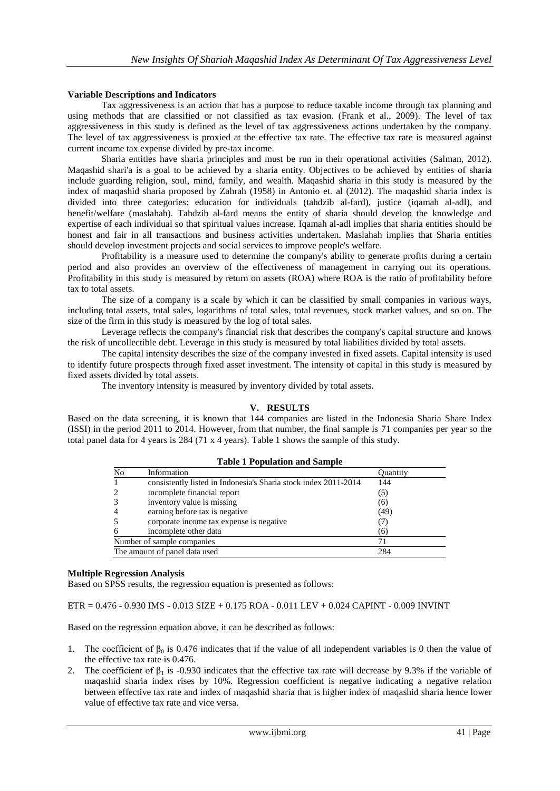## **Variable Descriptions and Indicators**

Tax aggressiveness is an action that has a purpose to reduce taxable income through tax planning and using methods that are classified or not classified as tax evasion. (Frank et al., 2009). The level of tax aggressiveness in this study is defined as the level of tax aggressiveness actions undertaken by the company. The level of tax aggressiveness is proxied at the effective tax rate. The effective tax rate is measured against current income tax expense divided by pre-tax income.

Sharia entities have sharia principles and must be run in their operational activities (Salman, 2012). Maqashid shari'a is a goal to be achieved by a sharia entity. Objectives to be achieved by entities of sharia include guarding religion, soul, mind, family, and wealth. Maqashid sharia in this study is measured by the index of maqashid sharia proposed by Zahrah (1958) in Antonio et. al (2012). The maqashid sharia index is divided into three categories: education for individuals (tahdzib al-fard), justice (iqamah al-adl), and benefit/welfare (maslahah). Tahdzib al-fard means the entity of sharia should develop the knowledge and expertise of each individual so that spiritual values increase. Iqamah al-adl implies that sharia entities should be honest and fair in all transactions and business activities undertaken. Maslahah implies that Sharia entities should develop investment projects and social services to improve people's welfare.

Profitability is a measure used to determine the company's ability to generate profits during a certain period and also provides an overview of the effectiveness of management in carrying out its operations. Profitability in this study is measured by return on assets (ROA) where ROA is the ratio of profitability before tax to total assets.

The size of a company is a scale by which it can be classified by small companies in various ways, including total assets, total sales, logarithms of total sales, total revenues, stock market values, and so on. The size of the firm in this study is measured by the log of total sales.

Leverage reflects the company's financial risk that describes the company's capital structure and knows the risk of uncollectible debt. Leverage in this study is measured by total liabilities divided by total assets.

The capital intensity describes the size of the company invested in fixed assets. Capital intensity is used to identify future prospects through fixed asset investment. The intensity of capital in this study is measured by fixed assets divided by total assets.

The inventory intensity is measured by inventory divided by total assets.

# **V. RESULTS**

Based on the data screening, it is known that 144 companies are listed in the Indonesia Sharia Share Index (ISSI) in the period 2011 to 2014. However, from that number, the final sample is 71 companies per year so the total panel data for 4 years is 284 (71 x 4 years). Table 1 shows the sample of this study.

| Tuoit 1 1 opunuton unu oumpic |                                                                 |          |  |  |  |
|-------------------------------|-----------------------------------------------------------------|----------|--|--|--|
| No                            | Information                                                     | Quantity |  |  |  |
|                               | consistently listed in Indonesia's Sharia stock index 2011-2014 | 144      |  |  |  |
|                               | incomplete financial report                                     | (5)      |  |  |  |
|                               | inventory value is missing                                      | (6)      |  |  |  |
|                               | earning before tax is negative.                                 | (49)     |  |  |  |
|                               | corporate income tax expense is negative                        |          |  |  |  |
|                               | incomplete other data                                           | (6)      |  |  |  |
| Number of sample companies    |                                                                 |          |  |  |  |
|                               | The amount of panel data used                                   | 284      |  |  |  |

**Table 1 Population and Sample**

#### **Multiple Regression Analysis**

Based on SPSS results, the regression equation is presented as follows:

# ETR = 0.476 - 0.930 IMS - 0.013 SIZE + 0.175 ROA - 0.011 LEV + 0.024 CAPINT - 0.009 INVINT

Based on the regression equation above, it can be described as follows:

- 1. The coefficient of  $\beta_0$  is 0.476 indicates that if the value of all independent variables is 0 then the value of the effective tax rate is 0.476.
- 2. The coefficient of  $\beta_1$  is -0.930 indicates that the effective tax rate will decrease by 9.3% if the variable of maqashid sharia index rises by 10%. Regression coefficient is negative indicating a negative relation between effective tax rate and index of maqashid sharia that is higher index of maqashid sharia hence lower value of effective tax rate and vice versa.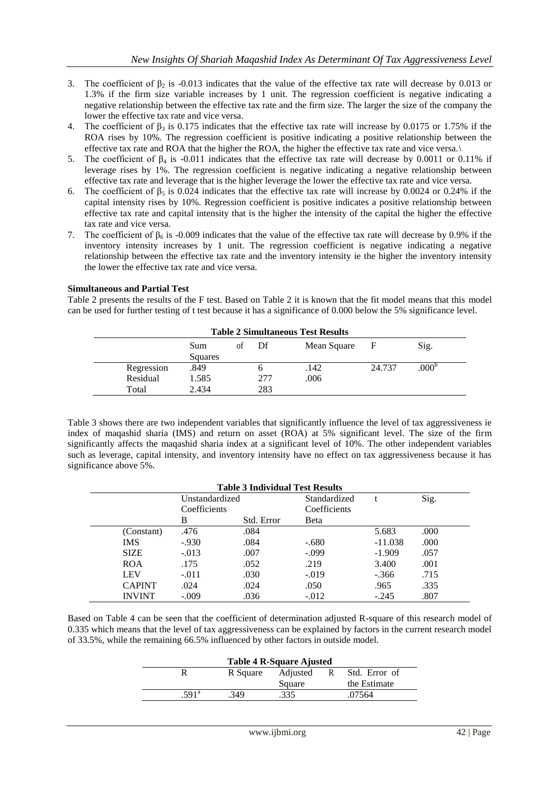- 3. The coefficient of  $\beta_2$  is -0.013 indicates that the value of the effective tax rate will decrease by 0.013 or 1.3% if the firm size variable increases by 1 unit. The regression coefficient is negative indicating a negative relationship between the effective tax rate and the firm size. The larger the size of the company the lower the effective tax rate and vice versa.
- 4. The coefficient of  $β_3$  is 0.175 indicates that the effective tax rate will increase by 0.0175 or 1.75% if the ROA rises by 10%. The regression coefficient is positive indicating a positive relationship between the effective tax rate and ROA that the higher the ROA, the higher the effective tax rate and vice versa.\
- 5. The coefficient of  $β_4$  is -0.011 indicates that the effective tax rate will decrease by 0.0011 or 0.11% if leverage rises by 1%. The regression coefficient is negative indicating a negative relationship between effective tax rate and leverage that is the higher leverage the lower the effective tax rate and vice versa.
- 6. The coefficient of  $\beta_5$  is 0.024 indicates that the effective tax rate will increase by 0.0024 or 0.24% if the capital intensity rises by 10%. Regression coefficient is positive indicates a positive relationship between effective tax rate and capital intensity that is the higher the intensity of the capital the higher the effective tax rate and vice versa.
- 7. The coefficient of  $\beta_6$  is -0.009 indicates that the value of the effective tax rate will decrease by 0.9% if the inventory intensity increases by 1 unit. The regression coefficient is negative indicating a negative relationship between the effective tax rate and the inventory intensity ie the higher the inventory intensity the lower the effective tax rate and vice versa.

# **Simultaneous and Partial Test**

Table 2 presents the results of the F test. Based on Table 2 it is known that the fit model means that this model can be used for further testing of t test because it has a significance of 0.000 below the 5% significance level.

| <b>Table 2 Simultaneous Test Results</b> |         |    |     |             |        |                |
|------------------------------------------|---------|----|-----|-------------|--------|----------------|
|                                          | Sum     | of | Df  | Mean Square | F      | Sig.           |
|                                          | Squares |    |     |             |        |                |
| Regression                               | .849    |    |     | .142        | 24.737 | $.000^{\circ}$ |
| Residual                                 | 1.585   |    | 277 | .006        |        |                |
| Total                                    | 2.434   |    | 283 |             |        |                |

Table 3 shows there are two independent variables that significantly influence the level of tax aggressiveness ie index of maqashid sharia (IMS) and return on asset (ROA) at 5% significant level. The size of the firm significantly affects the maqashid sharia index at a significant level of 10%. The other independent variables such as leverage, capital intensity, and inventory intensity have no effect on tax aggressiveness because it has significance above 5%.

| <b>Table 3 Individual Test Results</b> |                |            |              |           |      |  |
|----------------------------------------|----------------|------------|--------------|-----------|------|--|
|                                        | Unstandardized |            | Standardized |           | Sig. |  |
|                                        | Coefficients   |            | Coefficients |           |      |  |
|                                        | В              | Std. Error | Beta         |           |      |  |
| (Constant)                             | .476           | .084       |              | 5.683     | .000 |  |
| <b>IMS</b>                             | $-0.930$       | .084       | $-.680$      | $-11.038$ | .000 |  |
| <b>SIZE</b>                            | $-.013$        | .007       | $-.099$      | $-1.909$  | .057 |  |
| <b>ROA</b>                             | .175           | .052       | .219         | 3.400     | .001 |  |
| <b>LEV</b>                             | $-.011$        | .030       | $-.019$      | $-.366$   | .715 |  |
| <b>CAPINT</b>                          | .024           | .024       | .050         | .965      | .335 |  |
| <b>INVINT</b>                          | $-.009$        | .036       | $-.012$      | $-.245$   | .807 |  |

Based on Table 4 can be seen that the coefficient of determination adjusted R-square of this research model of 0.335 which means that the level of tax aggressiveness can be explained by factors in the current research model of 33.5%, while the remaining 66.5% influenced by other factors in outside model.

| Table 4 R-Square Ajusted |          |          |     |               |  |  |
|--------------------------|----------|----------|-----|---------------|--|--|
|                          | R Square | Adjusted | - R | Std. Error of |  |  |
|                          |          | Square   |     | the Estimate  |  |  |
| $.591^{\circ}$           | .349     | .335     |     | .07564        |  |  |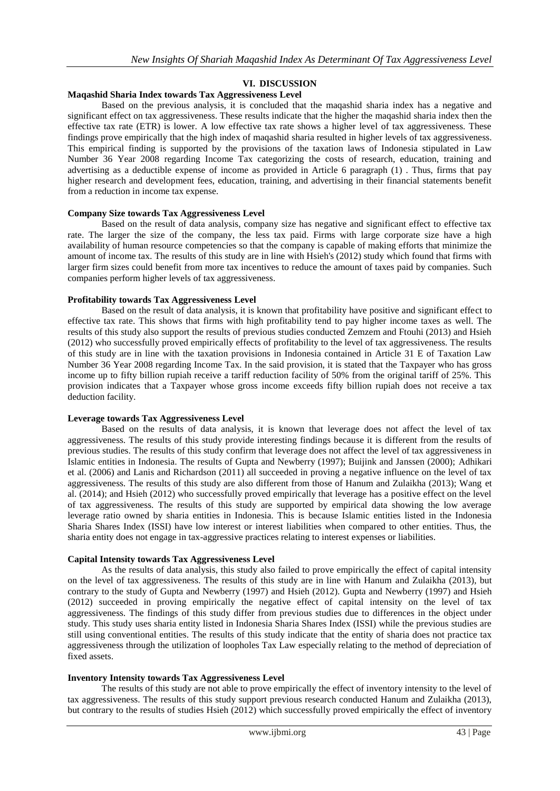# **VI. DISCUSSION**

#### **Maqashid Sharia Index towards Tax Aggressiveness Level**

Based on the previous analysis, it is concluded that the maqashid sharia index has a negative and significant effect on tax aggressiveness. These results indicate that the higher the maqashid sharia index then the effective tax rate (ETR) is lower. A low effective tax rate shows a higher level of tax aggressiveness. These findings prove empirically that the high index of maqashid sharia resulted in higher levels of tax aggressiveness. This empirical finding is supported by the provisions of the taxation laws of Indonesia stipulated in Law Number 36 Year 2008 regarding Income Tax categorizing the costs of research, education, training and advertising as a deductible expense of income as provided in Article 6 paragraph (1) . Thus, firms that pay higher research and development fees, education, training, and advertising in their financial statements benefit from a reduction in income tax expense.

#### **Company Size towards Tax Aggressiveness Level**

Based on the result of data analysis, company size has negative and significant effect to effective tax rate. The larger the size of the company, the less tax paid. Firms with large corporate size have a high availability of human resource competencies so that the company is capable of making efforts that minimize the amount of income tax. The results of this study are in line with Hsieh's (2012) study which found that firms with larger firm sizes could benefit from more tax incentives to reduce the amount of taxes paid by companies. Such companies perform higher levels of tax aggressiveness.

# **Profitability towards Tax Aggressiveness Level**

Based on the result of data analysis, it is known that profitability have positive and significant effect to effective tax rate. This shows that firms with high profitability tend to pay higher income taxes as well. The results of this study also support the results of previous studies conducted Zemzem and Ftouhi (2013) and Hsieh (2012) who successfully proved empirically effects of profitability to the level of tax aggressiveness. The results of this study are in line with the taxation provisions in Indonesia contained in Article 31 E of Taxation Law Number 36 Year 2008 regarding Income Tax. In the said provision, it is stated that the Taxpayer who has gross income up to fifty billion rupiah receive a tariff reduction facility of 50% from the original tariff of 25%. This provision indicates that a Taxpayer whose gross income exceeds fifty billion rupiah does not receive a tax deduction facility.

# **Leverage towards Tax Aggressiveness Level**

Based on the results of data analysis, it is known that leverage does not affect the level of tax aggressiveness. The results of this study provide interesting findings because it is different from the results of previous studies. The results of this study confirm that leverage does not affect the level of tax aggressiveness in Islamic entities in Indonesia. The results of Gupta and Newberry (1997); Buijink and Janssen (2000); Adhikari et al. (2006) and Lanis and Richardson (2011) all succeeded in proving a negative influence on the level of tax aggressiveness. The results of this study are also different from those of Hanum and Zulaikha (2013); Wang et al. (2014); and Hsieh (2012) who successfully proved empirically that leverage has a positive effect on the level of tax aggressiveness. The results of this study are supported by empirical data showing the low average leverage ratio owned by sharia entities in Indonesia. This is because Islamic entities listed in the Indonesia Sharia Shares Index (ISSI) have low interest or interest liabilities when compared to other entities. Thus, the sharia entity does not engage in tax-aggressive practices relating to interest expenses or liabilities.

#### **Capital Intensity towards Tax Aggressiveness Level**

As the results of data analysis, this study also failed to prove empirically the effect of capital intensity on the level of tax aggressiveness. The results of this study are in line with Hanum and Zulaikha (2013), but contrary to the study of Gupta and Newberry (1997) and Hsieh (2012). Gupta and Newberry (1997) and Hsieh (2012) succeeded in proving empirically the negative effect of capital intensity on the level of tax aggressiveness. The findings of this study differ from previous studies due to differences in the object under study. This study uses sharia entity listed in Indonesia Sharia Shares Index (ISSI) while the previous studies are still using conventional entities. The results of this study indicate that the entity of sharia does not practice tax aggressiveness through the utilization of loopholes Tax Law especially relating to the method of depreciation of fixed assets.

#### **Inventory Intensity towards Tax Aggressiveness Level**

The results of this study are not able to prove empirically the effect of inventory intensity to the level of tax aggressiveness. The results of this study support previous research conducted Hanum and Zulaikha (2013), but contrary to the results of studies Hsieh (2012) which successfully proved empirically the effect of inventory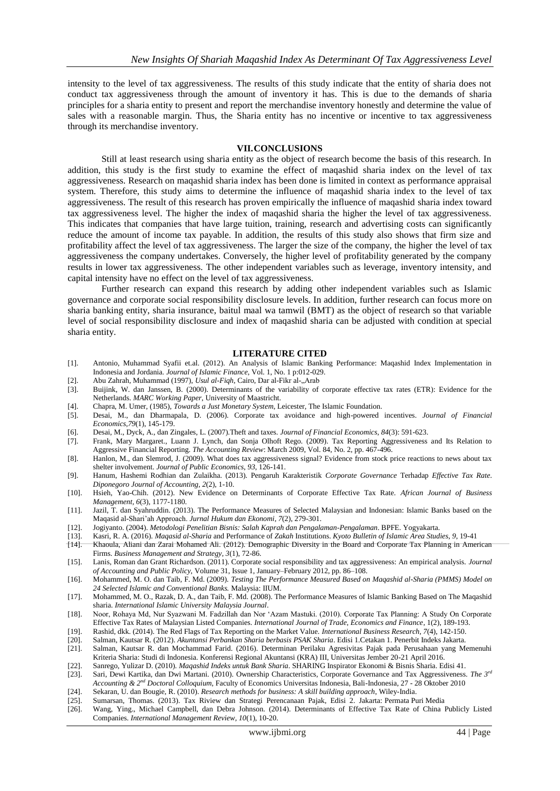intensity to the level of tax aggressiveness. The results of this study indicate that the entity of sharia does not conduct tax aggressiveness through the amount of inventory it has. This is due to the demands of sharia principles for a sharia entity to present and report the merchandise inventory honestly and determine the value of sales with a reasonable margin. Thus, the Sharia entity has no incentive or incentive to tax aggressiveness through its merchandise inventory.

#### **VII.CONCLUSIONS**

Still at least research using sharia entity as the object of research become the basis of this research. In addition, this study is the first study to examine the effect of maqashid sharia index on the level of tax aggressiveness. Research on maqashid sharia index has been done is limited in context as performance appraisal system. Therefore, this study aims to determine the influence of maqashid sharia index to the level of tax aggressiveness. The result of this research has proven empirically the influence of maqashid sharia index toward tax aggressiveness level. The higher the index of maqashid sharia the higher the level of tax aggressiveness. This indicates that companies that have large tuition, training, research and advertising costs can significantly reduce the amount of income tax payable. In addition, the results of this study also shows that firm size and profitability affect the level of tax aggressiveness. The larger the size of the company, the higher the level of tax aggressiveness the company undertakes. Conversely, the higher level of profitability generated by the company results in lower tax aggressiveness. The other independent variables such as leverage, inventory intensity, and capital intensity have no effect on the level of tax aggressiveness.

Further research can expand this research by adding other independent variables such as Islamic governance and corporate social responsibility disclosure levels. In addition, further research can focus more on sharia banking entity, sharia insurance, baitul maal wa tamwil (BMT) as the object of research so that variable level of social responsibility disclosure and index of maqashid sharia can be adjusted with condition at special sharia entity.

#### **LITERATURE CITED**

- [1]. Antonio, Muhammad Syafii et.al. (2012). An Analysis of Islamic Banking Performance: Maqashid Index Implementation in Indonesia and Jordania*. Journal of Islamic Finance*, Vol. 1, No. 1 p:012-029.
- [2]. Abu Zahrah, Muhammad (1997), *Usul al-Fiqh*, Cairo, Dar al-Fikr al-"Arab
- [3]. Buijink, W. dan Janssen, B. (2000). Determinants of the variability of corporate effective tax rates (ETR): Evidence for the Netherlands. *MARC Working Paper*, University of Maastricht.
- [4]. Chapra, M. Umer, (1985), *Towards a Just Monetary System*, Leicester, The Islamic Foundation.
- [5]. Desai, M., dan Dharmapala, D. (2006). Corporate tax avoidance and high-powered incentives. *Journal of Financial Economics*,*79*(1), 145-179.
- [6]. Desai, M., Dyck, A., dan Zingales, L. (2007).Theft and taxes. *Journal of Financial Economics, 84*(3): 591-623.
- [7]. Frank, Mary Margaret., Luann J. Lynch, dan Sonja Olhoft Rego. (2009). Tax Reporting Aggressiveness and Its Relation to Aggressive Financial Reporting. *The Accounting Review*: March 2009, Vol. 84, No. 2, pp. 467-496.
- [8]. Hanlon, M., dan Slemrod, J. (2009). What does tax aggressiveness signal? Evidence from stock price reactions to news about tax shelter involvement. *Journal of Public Economics*, *93*, 126-141.
- [9]. Hanum, Hashemi Rodhian dan Zulaikha. (2013). Pengaruh Karakteristik *Corporate Governance* Terhadap *Effective Tax Rate*. *Diponegoro Journal of Accounting, 2*(2), 1-10.
- [10]. Hsieh, Yao-Chih. (2012). New Evidence on Determinants of Corporate Effective Tax Rate. *African Journal of Business Management, 6*(3), 1177-1180.
- [11]. Jazil, T. dan Syahruddin. (2013). The Performance Measures of Selected Malaysian and Indonesian: Islamic Banks based on the Maqasid al-Shari'ah Approach. *Jurnal Hukum dan Ekonomi*, *7*(2), 279-301.
- [12]. Jogiyanto. (2004). *Metodologi Penelitian Bisnis: Salah Kaprah dan Pengalaman-Pengalaman*. BPFE. Yogyakarta.
- [13]. Kasri, R. A. (2016). *Maqasid al-Sharia* and Performance of *Zakah* Institutions. *Kyoto Bulletin of Islamic Area Studies*, *9*, 19-41 [14]. Khaoula, Aliani dan Zarai Mohamed Ali. (2012). Demographic Diversity in the Board and Corporate Tax Planning in American
- Firms. *Business Management and Strategy, 3*(1), 72-86. [15]. Lanis, Roman dan Grant Richardson. (2011). Corporate social responsibility and tax aggressiveness: An empirical analysis. *Journal*
- *of Accounting and Public Policy,* Volume 31, Issue 1, January–February 2012, pp. 86–108.
- [16]. Mohammed, M. O. dan Taib, F. Md. (2009). *Testing The Performance Measured Based on Maqashid al-Sharia (PMMS) Model on 24 Selected Islamic and Conventional Banks.* Malaysia: IIUM.
- [17]. Mohammed, M. O., Razak, D. A., dan Taib, F. Md. (2008). The Performance Measures of Islamic Banking Based on The Maqashid sharia. *International Islamic University Malaysia Journal*.
- [18]. Noor, Rohaya Md, Nur Syazwani M. Fadzillah dan Nor 'Azam Mastuki. (2010). Corporate Tax Planning: A Study On Corporate Effective Tax Rates of Malaysian Listed Companies. *International Journal of Trade, Economics and Finance*, 1(2), 189-193.
- [19]. Rashid, dkk. (2014). The Red Flags of Tax Reporting on the Market Value. *International Business Research, 7*(4), 142-150.
- [20]. Salman, Kautsar R. (2012). *Akuntansi Perbankan Sharia berbasis PSAK Sharia*. Edisi 1.Cetakan 1. Penerbit Indeks Jakarta.
- [21]. Salman, Kautsar R. dan Mochammad Farid. (2016). Determinan Perilaku Agresivitas Pajak pada Perusahaan yang Memenuhi Kriteria Sharia: Studi di Indonesia. Konferensi Regional Akuntansi (KRA) III, Universitas Jember 20-21 April 2016.
- [22]. Sanrego, Yulizar D. (2010). *Maqashid Indeks untuk Bank Sharia*. SHARING Inspirator Ekonomi & Bisnis Sharia. Edisi 41.
- [23]. Sari, Dewi Kartika, dan Dwi Martani. (2010). Ownership Characteristics, Corporate Governance and Tax Aggressiveness. *The 3rd Accounting & 2nd Doctoral Colloquium,* Faculty of Economics Universitas Indonesia, Bali-Indonesia, 27 - 28 Oktober 2010
- [24]. Sekaran, U. dan Bougie, R. (2010). *Research methods for business: A skill building approach*, Wiley-India.
- [25]. Sumarsan, Thomas. (2013). Tax Riview dan Strategi Perencanaan Pajak, Edisi 2. Jakarta: Permata Puri Media
- [26]. Wang, Ying., Michael Campbell, dan Debra Johnson. (2014). Determinants of Effective Tax Rate of China Publicly Listed Companies. *International Management Review, 10*(1), 10-20.